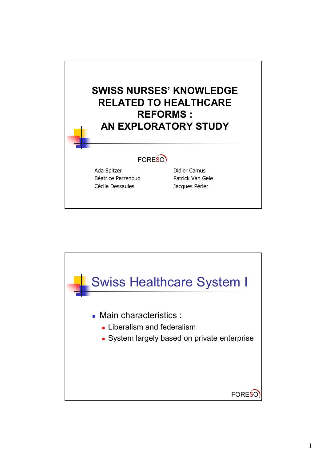

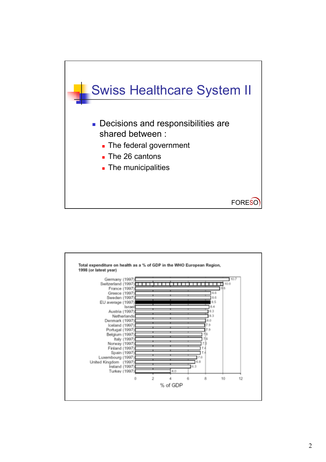

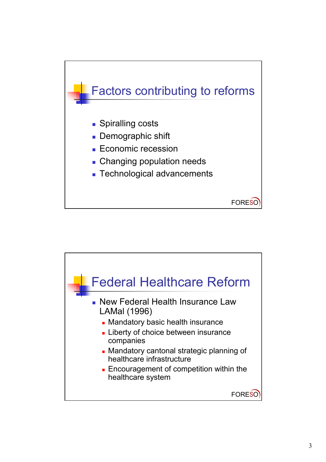

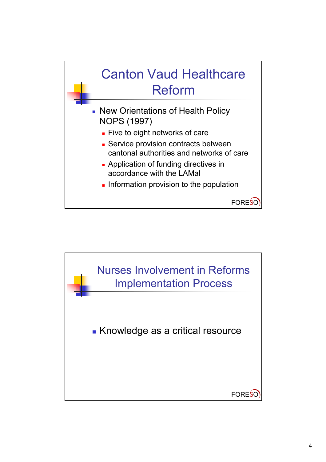

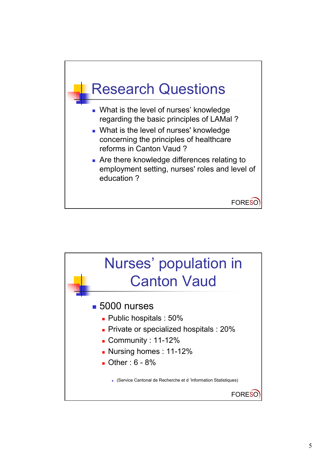

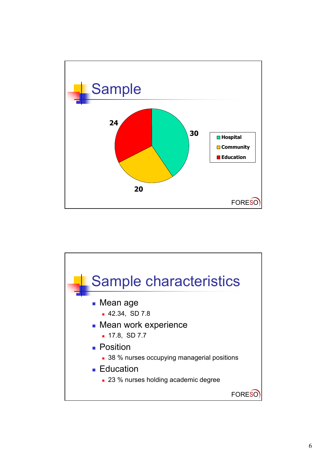

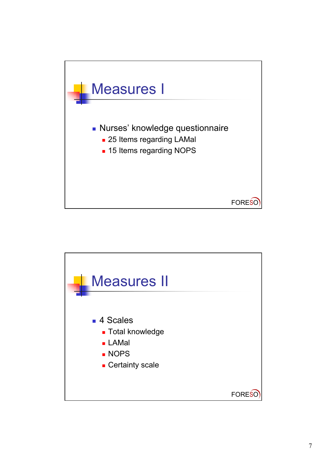

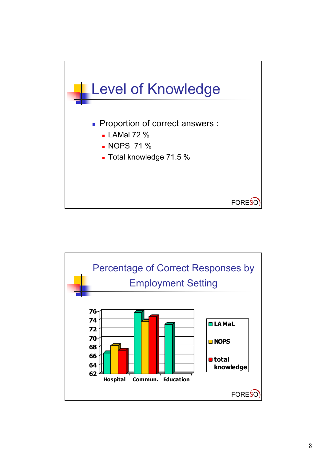

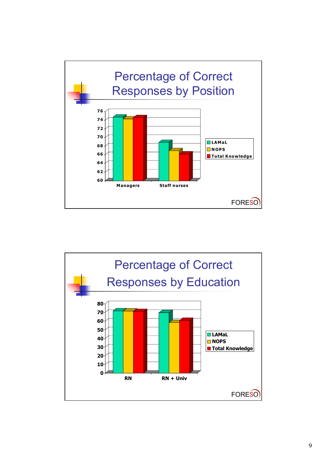

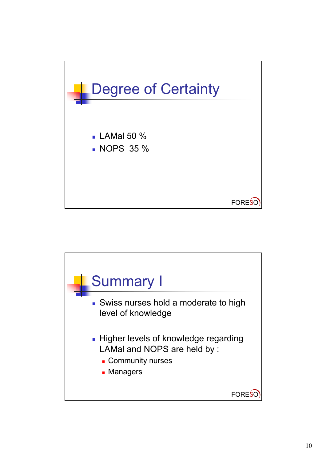